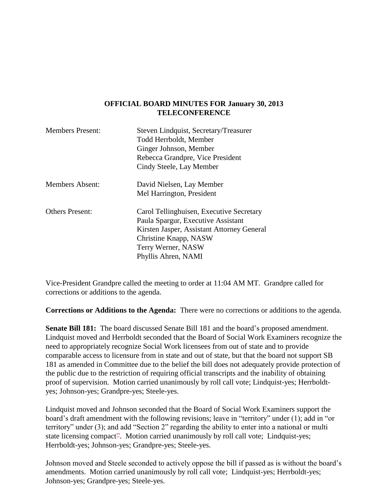## **OFFICIAL BOARD MINUTES FOR January 30, 2013 TELECONFERENCE**

| <b>Members Present:</b> | Steven Lindquist, Secretary/Treasurer      |
|-------------------------|--------------------------------------------|
|                         | Todd Herrboldt, Member                     |
|                         | Ginger Johnson, Member                     |
|                         | Rebecca Grandpre, Vice President           |
|                         | Cindy Steele, Lay Member                   |
| Members Absent:         | David Nielsen, Lay Member                  |
|                         | Mel Harrington, President                  |
| <b>Others Present:</b>  | Carol Tellinghuisen, Executive Secretary   |
|                         | Paula Spargur, Executive Assistant         |
|                         | Kirsten Jasper, Assistant Attorney General |
|                         | Christine Knapp, NASW                      |
|                         | Terry Werner, NASW                         |
|                         | Phyllis Ahren, NAMI                        |

Vice-President Grandpre called the meeting to order at 11:04 AM MT. Grandpre called for corrections or additions to the agenda.

**Corrections or Additions to the Agenda:** There were no corrections or additions to the agenda.

**Senate Bill 181:** The board discussed Senate Bill 181 and the board's proposed amendment. Lindquist moved and Herrboldt seconded that the Board of Social Work Examiners recognize the need to appropriately recognize Social Work licensees from out of state and to provide comparable access to licensure from in state and out of state, but that the board not support SB 181 as amended in Committee due to the belief the bill does not adequately provide protection of the public due to the restriction of requiring official transcripts and the inability of obtaining proof of supervision. Motion carried unanimously by roll call vote; Lindquist-yes; Herrboldtyes; Johnson-yes; Grandpre-yes; Steele-yes.

Lindquist moved and Johnson seconded that the Board of Social Work Examiners support the board's draft amendment with the following revisions; leave in "territory" under (1); add in "or territory" under (3); and add "Section 2" regarding the ability to enter into a national or multi state licensing compact<sup>22</sup>. Motion carried unanimously by roll call vote; Lindquist-yes; Herrboldt-yes; Johnson-yes; Grandpre-yes; Steele-yes.

Johnson moved and Steele seconded to actively oppose the bill if passed as is without the board's amendments. Motion carried unanimously by roll call vote; Lindquist-yes; Herrboldt-yes; Johnson-yes; Grandpre-yes; Steele-yes.